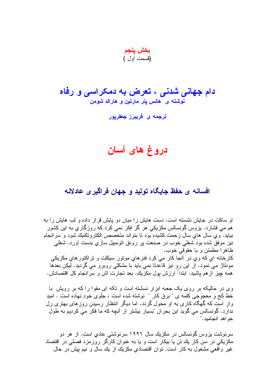بخش پنجم (قسمت اول )

دام جهانی شدنی ، تعرض به دمکراسی و رفاه نوشته ی هانس پتر مارتین و هارالد شومن

ترج*مه ی* فریبرز جعفریور

## دروغ های آسان

## افسانه ی حفظ جایگاه تولید و جهان فراگیری عادلانه

او ساکت در جابش نشسته است. دست هابش را مبان دو بابش قر ار داده و لب هابش را به هم مبی فشار د. بزوس گونسالس مکزیکی هر گز فکر نمبی کرد که روزگاری به این کشور ببابد. و ی سال های سال ز حمت کشبده بود تا بتو اند متخصص الکتر و تکنبك شود و سر انجام نیز موفق شده بود شغلبی خوب در صنعت پر رونق اتومبیل سازی بدست اورد. شغلبی ظاهرا مطمئن و با حقوقی خوب. كارخانه اي كه وي در أنجا كار مي كرد فنرهاي مونور سيكلت و نراكتورهاي مكزيكي مونتاژ می نمود. از این رو نیز قاعدتا نمی باید با مشکلی روبرو می گردید. لیکن بعدها همه چیز از هم باشید. ابتداً ارزش بول مکزیك. بعد نجارت اش و سرانجام كل اقتصادش.

وی در حالیکه بر روی یک جعبه ابزار نسشته است و تکه ای مقوا را که بر رویش با خط کج و معجوجی کلمه ی " برق کار " نوشته شده است ، جلوی خود نهاده است . امید و ار است که گهگاه کار ی به او محول گردد. اما دیگر انتظار رسیدن روز های بهتر ی رل ندارد. گونسالس می گوید این بحر ان "بسیار بیشتر از اُنچه که ما فکر می کردیم به طول خو اهد انحامند."

سر نوشت بزوس گونسالس در مکزیك سال ۱۹۹۲ سرنوشتی عادیِ است. از هر دو مکزیکی در سن کار یك تن یا بیكار است و یا به عنوان كارگر روزمزد فصلی در اقتصاد غیر واقعی مشغول به کار است. نوان اقتصادیِ مکزیك از یك سال و نیم بیش در حال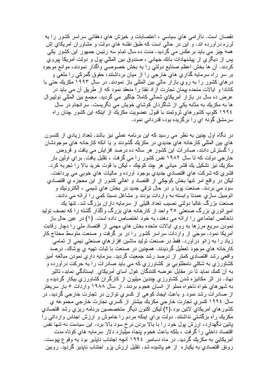نقصان است. ناآرامی های سیاسی ، اعتصابات و خیزش های دهقانی سراسر کشور را به لرزه درآورده اند. و این در حالمی است که طبق نقشه های دولت و مشاوران أمریکای ِاش همه چيز مي بايد برعكس مي گرديد. مدت ده سال تمام سه رئيس جمهور اين كشور يكي بس از دیگری از بیشنهادات بانك جهانی ، صندوق بین المللی بول و دولت آمریكا بیروی كردند. أن ها بخش اعظم صنايع دولتي را به بخش خصوصـي واگذار نمودند، موانـع موجود بر سر راه سرمايه گذاري هاي خارجي را از ميان برداشتند، حقوق گمرکي را ملغي و در هایِ کشور را به رویِ بازار مالی بین المللی باز نمودند. در سال ۱۹۹۳ مکزیك حتی با كانادا و ايالات متحده بيمان تجارت آزاد نفتا را منعقد نمود كه از طريق آن مي بايد در عرض ده سال در بازار أمريكاي شمالي كاملا جاگير مي گرديد. مجمع بين المللي نوليبرال ها به مکزیك به مثابه یكی از شاگردان كوشاي خویش مي نگریست. سرانجام در سال ١٩٩٤ كلوبٍ كشور هاي ثروتمند با قبول عضويت مكزيك از اينكه اين كشور چنان راه سر مشق گونه ای را برگزیده بود، قدردانی نمود.

در نگاه اول چنین به نظر می رسید که این برنامه عملی نیز باشد. تعداد زیادیِ از کنسرن های بین المللی کارخانه های جدیدی در مکزیك گشودند و یا آنکه کارخانه های موجودشان را گسترش دادند. صادرات این کشور ٍ هر ساله ده درصد افزایش می یافت و قروض خارجی دولت که تا سال ۱۹۸۲ نفس کشور را می گرفت ، تقلیل یافت. برای اولین بار مكزيك نيز نشكيل يك قشر مياني هر چند كوچك ، ليكن با قوت خريد بالا را تجربه كرد. قشري كه شركت هاي اقتصادي جديدي بوجود أورده و ماليات هاي خوبي مي پرداخت. ليكن در واقع امر نتها بخش كوچكي از اقتصاد و اهالي كشور از اين معجزه ي اقتصادي سود مي بردند. صنعت بويا و در حال ترقي جديد در بخش هاي شيمي ، الكترونيك و اتومبیل سازی عمدتا وابسته به واردات بودند و مشاغل نسبتا کمی را ارائه می دادند. صنعت بزرگ غالبا دولتی نصیب تعداد قلیلی از سرمایه دار ان بزرگ شد. تنها یك امیر اتوریِ بزرگ صنعتی ۲۰ واحد از کارخانه هایِ بزرگ واگذار گشته را که نصف تولید ناخالص اجتماعی را ارائه می دهند، به خود اختصاص داده است. (۱) در عین حال باز نمودن سریع مرز ها به روی ایالات متحده بخش های مهمی از اقتصاد ملی را دچار رقابت أمریکا نمود. موجی از واردات سراسر کشور را در بر گرفت و صنعت متوسط محتاج کار زياد را به زانو درأورد. فقط در صنعت توليد ماشين افزار هاي صنعتي نيمي از تمامي كارخانه هاي موجود تعطيل گرديدند. همچنين در صنعت با ثبات تهيه ي پوشاك. درصد واقعی رشد اقتصادی کمتر از درصد رشد جمعیت گردید. سرمایه داری نمودن مبالغه آمیز کشاورزی به شکلی نامطلوبی بر کشاورزی که می باید صادرات را به حرکت در آورده و به آن کمك نمايد تا در مقابل عرضه كنندگان غول آساي آمريكاي ِ ايستادگي نمايد، تاثير نهاد. در اثر مکانیزه شدن کشاورزی چندین میلیون از کارگران کشاورزی بیکار گردیده و به شهر های خواه ناخواه مملو از انسان هجوم بردند. از سال ۱۹۸۸ واردات ۵ بار سریعتر از صادرات رشد نمود و باعث ایجاد کوهی از کسری توازن در تجارت خارجی گردید. در سال ١٩٩٤ كسري تجارت خارجي مكزيك بيشتر از كسري تجارت خارجي مجموعه ي كشور هاى آمريكاى لاتين بود.(٢) ليكن اكنون ديگر متخصصين برنامه ريزى رشد اقتصادى مکزیك راه برگشتى نداشتند. دولت براي اينكه مردم را خاموش و ارزش اجناس وارداتى را پائین نگهدارد، ارزّش پول خود را با بالا بردن نرخ سود بالا برد. این سیاست نه تنها نفس اقتصاد داخلی را گرفت ، بلکه باعث هجوم پنجاه میلیارد دلار سرمایه های کوتاه مدت آمریکایی به مکزیك گردید. در ماه دسامبر ١٩٩٤ آنچه اجتناب ناپذیر بود به وقو ع پیوست. رونق اقتصادي به يكباره از هم پاشيده شد. نقليل ارزش پزو اجتناب ناپذير گرديد. روبين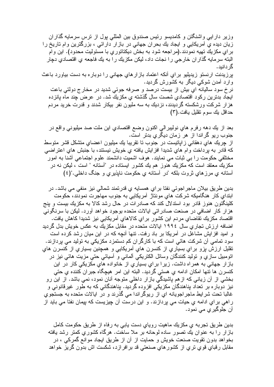وزیر دارایی واشنگتن و کامدیسو رئیس صندوق بین المللی پول از نرس سرمایه گذاران زیان دیده یِ اَمریکایی و ایجاد بِك بحران جهانی در بازار دارائی ، بزرگترین وام تاریخ را بر اي مكزيك تهيه نمودند.(مراجعه شود به بخش ديكتاتوري با مسئوليت محدود). اين وام البته سرمایه گذار ان خارجی را نجات داد، لیکن مکزیك را به یك فاجعه ی اقتصادی دچار گر دانېد. پرزيدنت ارنستو زيديليو براي أنكه اعتماد بازارهاي جهاني را دوباره به دست بياورد باعث وارد آمدن شوکی دیگر به کشورش گردید. نرخ سود ساليانه اي بيش از بيست درصد و صرفه جوئي شديد در مخارج دولتي باعت ايجاد بدترين ركود اقتصادي شصت سال گذشته ي مكزيك شد. در عرض چند ماه يانزده هزار شرکت ورشکسته گردیدند، نزدیك به سه ملیون نفر بیکار شدند و قدرت خرید مردم حداقل بك سوم نقليل يافت.(٣)

بعد از يك دهه رفرم هاي نوليبرالي اكنون وضع اقتصادي اين ملت صد ميليوني واقع در جنوب ريو گراندا از هر زمان ديگري بدتر است. از چریك های دهقانی زایانیست در جنوب نا نقریبا یك میلیون اعضای منشكل قشر متوسط كه قادر به برداخت وام هاي شديدا افزايش يافته ي خويش نيستند، با جنبش هاي اعتراضي مختلفی حکومت را ببی ثبات می نمایند. هوف اشمیت دانشمند علوم اجتماعی آشنا به امور مکزیك معتقد است كه مكزیك هنوز هم یك كشور ایستاده در "آستانه " است ، لیكن نه در أستانه ي مرزهاي ثروت بلكه "در أستانه ي حكومت ناپذيري و جنگ داخلي."(٤)

بدین طریق بیلان ماجر اجوئی نفتا بر ای همسایه ی قدرتمند شمالی نیز منفی می باشد. در ابنداي كار هنگاميكه شركت هاي مونتاژ آمريكايي به جنوب مهاجرت نمودند، حكومت کلینگتون هنوز قادر بود استدلال کند که صادرات در حال رشد کالا به مکزیك بیست و پنج هزار كار اضافي در صنعت صادراتي ايالات متحده بوجود خواهد أورد. ليكن با سرنگوني اقتصاد مكزيك نقاضاي مردم اين كشور براي كالاهاي آمريكايي نيز شديدا كاهش يافت. اضافه ارزش تجار ی سال ۱۹۹٤ ایالات متحده در مقابل مکزیك به عکس خویش بدل گردید و امید افزایش مشاغل در آمریکا بر باد رفت. نتها آنچه که در این میان رشد کرده است سود تمامی آن شرکت هائی است که با کارگران کم دستمزد مکزیکی به تولید می بردازند. نقلیل ارزش بزو برای بسیاری از کنسرن های آمریکایی و همچنین بسیاری از کنسرن های اتومبیل سازی و نولید کنندگان وسائل الکتریکی ألمانی و أسیائی حتی مزیت هائی نیز در باز ار جهاني به همر اه داشت. زير ا بر اي بسيار ي از خانو اده هاي مكزيكي كار در اين كنسرن ها نتها امكان ادامه ي هستي گرديد. البنه اين امر هيچگاه جبر ان كننده ي حتى بخشی از آن زیانی که از هم باشیدگی بازار داخلی متوجه آنان نمود، نمی باشد. از این رو نیز دوباره بر تعداد بناهندگان مکزیکی افزوده گردید. بناهندگانی که به طور غیرقانونی و غالبا تحت شر ایط ماجر اجو پانه ای از ریوگر اندا می گذرند و در ایالات متحده به جستجو ی راهی برای ادامه ی حیات می بردازند. و این درست آن چیزیست که بیمان نفتا می باید از آن جلوگيري مي نمود.

بدین طریق تجربه ی مکزیك ماهیت رویای دست یابی به رفاه از طریق حكومت كامل بازار را به عنوان يك نصور ساده لوحانه بر ملا ساخت. هرگاه كشوري كمتر رشد يافته بخواهد بدون نقويت صنعت خويش و حمايت از آن از طريق ايجاد موانع گمركي ، در مقابل رقبای قوی تری از کشورهایِ صنعتی قد برافرازد، شکست اش بدون گریز خواهد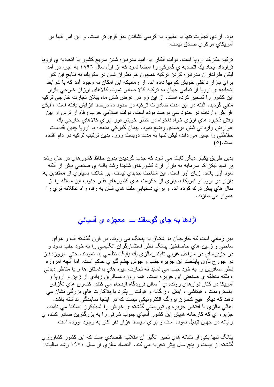بود. آزادي تجارت نتها به مفهوم به كرسي نشاندن حق قوي تر است. و اين امر نتها در آمريكاي مركزي صادق نيست.

ترکیه مکزیك اروپا است. دولت أنکارا به امید مدرنیز ه شدن سریع کشور با اتحادیه ی اروپا قرارداد ایجاد بك اتحادیه ي گمركي را امضا نمود كه از اول سال ۱۹۹۲ به اجرا در آمد. ليكن طر فدار ان مدر نيز ، كر دن تر كيه همچو ن هم نظر ان شان در ٍ مكز يك به نتايج اين كار بر ای باز ار داخلی خویش کم بها داده اند. از زمانیکه این امکان به وجود آمد که با شر ایط اتحادیه ی اروپا از تمامی جهان به ترکیه کالا صادر نمود، کالاهای ارزان خارجی بازار این کشور را تسخیر کرده است. از این رو در عرض شش ماه بیلان تجارت خارجی ترکیه منفی گردید. البته در این مدت صادر ات ترکیه در حدود ده درصد افزایش یافته است ، لیکن افزایش واردات در حدود سی درصد بوده است. دولت اسلامی حزب رفاه از نرس از بین رفتن ذخيره هاي ارزي خواه ناخواه در خطر خويش فورا براي كالاهاي خارجي يك عوارض وارداتی شش درصدی وضع نمود. بیمان گمرکی منعقده با اروپا چنین اقدامات حفاظتی را جایز می داند، لیکن نتها به مدت دویست روز . بدین ترتیب ترکیه در دام افتاده است.(٥)

بدین طریق یکبار دیگر ثابت می شود که جذب گردیدن بدون حفاظ کشور های در حال رشد بر امید لیکن کم سرمایه به بازار آزاد کشورهای شدیدا رشد یافته ی صنعتی بیش از آنکه سود آور باشد، زیان آور است. این شناخت جدیدی نیست. بر خلاف بسیار ی از معتقدین به بازار در اروپا و آمریکا بسیاری از حکومت های کشورهای فقیر جنوب این مسئله را از سال هاي بيش درك كرده اند. و براي دستيابي ملت هاي شان به رفاه راه عاقلانه نري را هموار مي سازند.

## اژدها به جای گوسفند ــ معجزه ی آسیائی

دیر زمانی است که خارجیان با اشتیاق به بنانگ می روند. در قرن گذشته آب و هوای ساحلـي و زمين هاي حاصلخيز بنانگ نظر استثمارگمران انگليسي را به خود جلب نمود و در جزیره ای در سواحل غربی تابلند\_مالزی بك بابگاه نظامی بنا نمودند. حتی امروزه نیز در جورج تاون پایتخت این جزیره جنب و جوش چشم گیری حاکم است. اما أنچه امروزه نظر مسافرین را به خود جلب می نماید نه تجارت میوه های باغستان ها و یا مناظر دیدنی ، بلکه منطقه ی صنعتی این جزیر ه است. همه روزه مسافرین زیادی از ژاین و اروپا و آمریکا در کنار نوارهای رونده ی ` سالن فرودگاه ازدحام می کنند. کنسرن های تگزاس اینسترومنت ، هیتاشی ، اینتل ، زاگانه و هولت \_ یکرد با بلاکارت های بزرگی نشان می دهند که دیگر هیچ کنسرن بزرگ الکترونیکی نیست که در اینجا نمایندگی نداشته باشد. اهالي مالزي با افتخار جزيره ي توريستي گذشته ي خويش را "سيليکون ايسلند" مي نامند. جزیره ای که کارخانه هایش این کشور آسیای جنوب شرقی را به بزرگترین صادر کننده ی رایانه در جهان نبدیل نموده است و براي سیصد هزار نفر کار به وجود أورده است.

بنانگ نتها یکی از نشانه های نحیر انگیز أن انقلاب اقتصادی است که این کشور کشاورزی گذشته از بیست و بنج سال بیش تجربه می کند. اقتصاد مالزی از سال ۱۹۷۰ رشد سالبانه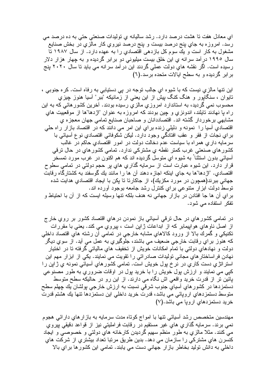اي معادل هفت نا هشت درصد دارد. رشد ساليانه ي نوليدات صنعتي حتى به ده درصد مي رسد. امروزه به جاي پنج درصد بيست و پنج درصد نيروي كار مالزي در بخش صنايع مشغول به کار است و بك سوم كل بازدهی اقتصادیِ را به عهده دارد. از سال ۱۹۸۷ تا سال ۱۹۹۰ در آمد سرانه ی این خلق بیست میلیونی دو بر ابر گردیده و به چهار هزار دلار رسیده است. اگر نقشه های دولت عملی گردند این در آمد سرانه می باید تا سال ۲۰۲۰ پنج برابر گردیده و به سطح ایالات متحده برسد.(٦)

این نتها مالزیِ نیست که با شیوه ایِ جالب نوجه در پی دستیابی به رفاه است. کره جنوبی ، تابوان ، سنگابور و هنگ کنگ بیش از این بعنی از زمانیکه "ببر" آسیا هنوز جیزی محسوب نمی گردید، به استاندارد امروزیِ مالزیِ رسیده بودند. آخرین کشورهائی که به این راه با نهادند تايلند، اندونزي و چين بودند كه امروزه به عنوان "اژدها"ها از موقعييت هاي مشابهي برخوردار گشته اند. اقتصاددانان و صاحبان صنايع تمامي جهان معجزه ي اقتصادی آسیا را نمونه و دلیلی زنده بر ای این امر می دانند که در اقتصاد باز ار ر اه حلی براي نجات از فقر و عقب افتادگي وجود دارد. ليكن شكوفائي اقتصادي نوع أسيائي با سرمایه داری همراه با سیاست عدم دخالت دولت در امور اقتصادی حاکم در غالب کشور های صنعتی غرب کمتر نقطه ی مشترکی ندارد. تمامی کشور های در حال ترقی أسيائـي بدون استثنـاً بـه شيوه اي منوسل گرديده اند كـه هم اكنون در غرب مورد نمسخر قرار دارد. این شیوه عبارت است از سرمایه گذاریِ هایِ بر حجم دولتی در تمامی سطوح اقتصادي. "اژدها"ها به جاي اينكه اجازه دهند آن ها را مانند يك گوسفند به كشتارگاه رقابت جهانی ببرند(همچون در مورد مکزیك)، از جاكارتا تا یكن با ایجاد اقتصادی هدایت شده نوسط دولت ابزار مننوعي براي كنترل رشد جامعه بوجود أورده اند. براي أن ها جا افتادن در بازار جهاني نه هدف بلكه نتها وسيله ايست كه از أن با احتياط و تفکر استفادہ مے شود.

در نمامي کشورهاي در حال نرقمي أسيائي باز نمودن درهاي اقتصاد کشور بر روي خار ج از اصل ناوهاي هواپيمابر كه از ابداعات ژاپن است ، پيروي مي كند. يعني با مقررات نكنيكي و گمرك بالا از ورود كالاهاي مشابه خارجي در نمامي أن رشته هاي اقتصاد داخلي که هنوز براي رقابت خارجي ضعيف مي باشند، جلوگيري به عمل مي آيد. از سوي ديگر دولت و نهادهای دولتی با تمام امکانات خویش از تخفیف هایِ مالیاتی گرفته تا در اختیار نهادن فراساختار هاي مجاني نوليدات صادر اتبي را نقويت مي نمايند. يكي از ابزار مهم اين استر انژی دست کاری در نرخ بول خویش است. تمامی کشور های آسیائی نمونه ی ژالین را کپی می نمایند و ارزش پول خویش را با خرید پول در اوقات ضروري به طور مصنوعی بائین نر از قدرت خرید واقعی اش نگاه می دارند. از این رو در حالیکه سطح متوسط .<br>دستمزدها در كشورها*ي* أسياي جنوب شرقي نسبت به ارزش خارجي پولشان يك چهلم سطح منوسط دستمزدهای اروپائی می باشد، قدرت خرید داخلی این دستمزدها نتها بك هشتم قدرت خريد دستمزدهاي اروپا مي باشد.(٧)

مهندسین منخصص رشد اسیائی نتها با امواج کوناه مدت سرمایه به باز ار های دار ائی هجوم نمی برند. سرمایه گذاریِ هایِ غیر مستقیم در رقابت فراملیتی نیز از قواعد دقیقی بپرویِ مي كنند. مثلا مالزي به طور منظم سهيم گرديدن كارخانه هاي دولتي و خصوصي و ايجاد كنسرن هاي مشتركي را سازمان مي دهد. بدين طريق مرتبا تعداد بيشتري از شركت هاي داخلی به دانش نولید بخاطر باز ار جهانی دست می یابند. تمامی این کشور ها بر ای بالا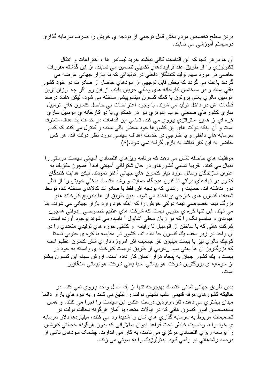بردن سطح تخصص مردم بخش قابل توجهي از بودجه ي خويش را صرف سرمايه گذاري درسیستم آموزشی می نمایند.

آن ها در هر كجا كه اين اقدامات كافي نباشند خريد ليسانس ها ، اختر اعات و انتقال تکنولوژی را از طریق عقد قراردادهای تکمیلی تضمین می نمایند. از این گذشته مقررات خاصبی در مورد سهم تولید کنندگان داخلی در تولیداتی که به باز ار جهانی عرضه می گردند باعث می گردد که بخش قابل توجهی از سودهای حاصل از صادرات در خود کشور باقی بماند و در ساختمان کارخانه های وطنی جریان یابند. از این رو اگر چه ارزان ترین اتومبيل مالزي يعني بروتون با كمك كنسرن ميتسوييشي ساخته مي شود، ليكن هفتاد درصد قطعات اش در داخل نولید می شوند. با وجود اعتراضات بی حاصل کنسرن های انومبیل سازي کشور هاي صنعتي غرب اندونزي نيز در همکاري با دو کارخانه ي اتومبيل سازي كره اي از همين استراتڙي بيروي مي كند. تمامي اين اقدامات در خدمت يك هدف مشترك است و ْ أن اينكه دولت هاي اين كشور ها خود مختار باقي مانده و كنترل مي كنند كه كدام سرمايه هاي داخلي و يا خارجي در خدمت اهداف سياسي مورد نظر دولت اند. هر كس حاضر به این کار نباشد به بازی گرفته نمی شود.(۸)

موفقیت های حاصله نشان می دهند که برنامه ریزهای اقتصادی آسیائی سیاست درستی را دنبال می کنند. نقریبا تمامی کشور های در حال شکوفائی آسیائی ابتدا ً همچون مکزیك به عنوان سازندگان وسائل مورد نیاز کنسرن هایِ جهانی آغاز نمودند. لیکن هدایت کنندگان کشور در نهادهای دولتی تا کنون هیچگاه حمایت و رشد اقتصاد داخلی خویش را از نظر دور نداشته اند. حمایت و رشدی که بودجه اش فقط با صادرات کالاهای ساخته شده نوسط شعبات كنسرن هاي خارجي پرداخته مي شود. بدين طريق آن ها بندريج كارخانه هاي بزرگ نیمه خصوصی نیمه دولتی خویش را که اینك خود وارد بازار جهانی می شوند، بنا مي نهند. اين نتها كره ي جنوبي نيست كه شركت هاي عظيم خصوصبي \_دولتي همچون هیوندی و سامسونگ را که در زبان محلی "شابول " نامیده می شوند بوجود أورده است. شركت هائي كه با ساختن از انومبيل نا رايانه وكشتي حوزه هاي توليدي متعددي را در آن واحد در زیر سقف بك كنسرن جا داده اند. كشور در مقایسه با كره ى جنوبى نسبتا کوچك مالزي نيز با بيست ميليون نفر جمعيت اش امروزه داراي شش كنسرن عظيم است که بزرگترین آن ها یعنی سیم \_داربی از طریق دویست کارخانه ی وابسته به خود در بیست و یك كشور جهان به پنجاه هزار انسان كار داده است. ارزش سهام این كنسرن بیشتر از سرمایه یِ بزرگترین شرکت هوالپیمائی اَسیا یعنی شرکت هوالپیمائی سنگالپور است.

بدین طریق جهانی شدنی اقتصاد بهیچوجه نتها از یك اصل واحد بیروی نمی كند. در حالیکه کشورهای مرفه قدیمی عقب نشینی دولت را نبلیغ می کنند و به نیروهای بازار دائما میدان بیشتری می دهند، تازه واردین درست عکس این سیاست را اجرا می کنند. و همان متخصصین امور کنسرن هائی که در ایالات متحده یا آلمان هرگونه دخالت دولت در تصميمات مربوط به سرمايه گذاري هاي شان را شديدا رد مي كنند، ميلياردها دلار سرمايه ي خود را با رضايت خاطر نحت قواعد ديوان سالاراني كه بدون هرگونه خجالتي كارشان را برنامه ريزي اقتصادي مركزي مي نامند، به كار مي اندازند. چشمک سودهاي ناشي از درصد رشدهائی دو رقمی قیود ایدئولوژیك را به سوئی می زنند.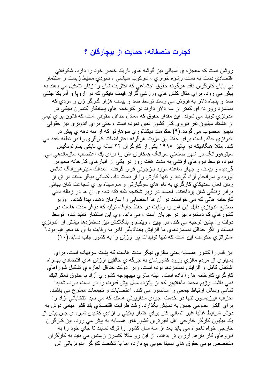## تجارت منصفانه: حمايت از بيچارگان ؟

روشن است که معجزه ی آسیائی نیز گوشه های تاریك خاص خود را دارد. شکوفائی اقتصادي دست به دست رشوه خواري ، سركوب سياسي ، نابودي محيط زيست و استثمار بي پايان كارگران فاقد هرگونه حقوق اجتماعي كه اكثريت شان را زنان نشكيل مي دهند به بیش می رود. برایِ مثال کفش هایِ ورزشی گران قیمت نایکی که در ارویا و أمریکا جفتی صد و بنجاه دلار به فروش می رسند توسط صد و بیست هزار گارگر زن و مردی که دستمز د روز انه ای کمتر از سه دلار دارند در کارخانه های بیمانکار کنسرن نایکی در اندونزیِ نولید می شوند. این مقدار حقوق که معادل حداقل حقوقی است که قانون بر ایِ نیمی از هشتاد میلیون نفر نیرویِ کار کشور تعین نموده است ، حتی برایِ اندونزیِ نیز حقوقی ناچيز محسوب مي گردد.(۹) حکومت ديکتاتوري سوهارتو که از سه دهه ي پيش در اندونزیِ حاکم است برایِ حفظ این مزیت هرگونه اعتراضات کارگریِ را در نطفه خفه می کند. مثلا هنگامیکه در پائیز ۱۹۹۰ یکی از کارگران ۲۲ ساله یِ نایکی بنام تونگیس سیتو هور انگ در شهر صنعتی سر انگ همکار ان اش ر ا بر ای بك اعتصاب ساز ماندهی می نمود، توسط نیروهایِ ارتشی به مدت هفت روز در یکی از انبارهایِ کارخانه محبوس گردیده و بیست و چهار ساعته مورد بازجوئی قرار گرفت. معذالك سیتوهورانگ شانس آورده و سرانجام آزاد گردید و نتها کارش را از دست داد. کسانی دیگر مانند دو نن از زنان فعال سندیکای کارگری به نام های سوگیارتی و مارسیناه برای شجاعت شان بهائی برابر زندگی شان برداختند. اجساد در ریر شکنجه تکه تکه شده ی آن ها در زباله دانی ً کارخانه هائی که می خواستند در آن ها اعتصابی را سازمان دهند، بیدا شدند. وزیر صنایع اندونزی دلیل این امر را رقابت در حفظ جایگاه تولید که دیگر مدت هاست در کشور های کم دستمزد نیز در جریان است ، می داند. وی این استثمار نائید شده توسط دولت را جنین توجیه می کند. در چین ، ویتنام و بنگلادش نیز دستمزدها بیشتر از اندونزی نیستند و اگر حداقل دستمزدهای ما افزایش بابد"دیگر قادر به رقابت با آن ها نخواهیم بود." استرانژی حکومت این است که تنها تولیدات بر ارزش را به کشور جلب نماید.(۱۰)

این قدم ر اکشور ِ همسایه یعنی مالزی دیگر ِ مدت هاست که بِشت سرنهاده است. بر ای بسیاریِ از مردم مالزیِ ورودٌ کشورشان به جرگه یِ خالقین ارزش هایِ اقتصادیِ بهمراه اشتغال كامل و افزايش دستمزدها بوده است. زيرا دولت حداقل اجازه ي تشكيل شوراهاي كارگر ي كارخانه ها را داده است. البته مالزي بهيچوجه كشور ي آزاد با حقوق دمكر اتيك نمی باشد. رژیم محمد ماهاتهیر که از پانزده سال بیش قدرت را در دست دارد، شدیدا نمامی وسائل ارتباط جمعی را سانسور می کند. اعتصابات و تجمعات ممنوع می باشند. احزاب ابوزیسیون نتها در خدمت اجرای سناریوئی هستند که می باید انتخاباتی آزاد را برای افکار عمومی جهان به نمایش بگذارد. رشد ظرفیت اقتصادی بك قشر میانی دوش به دوش شرایط غالبا غیر انسانی کار برای اقشار پائینی و آزادیِ کشیدن شیره یِ جان بیش از بِكَ مبلِيونِ كارگر خارجي اهل فقيرترين كشورِ هاي همسايه به بيش مي رود. اين كارگران خارجی خواه ناخواه می باید بعد از سه سال کشور را نرك نمایند تا جای خود را به نیروهای کار بازهم ارزان تر بدهند. از این رو مثلا کنسرن زیمنس می باید به کارگران متخصص بومي حقوق هاي نسبتا خوبي بپردازد، اما با ششصد كارگر اندونزيائي اش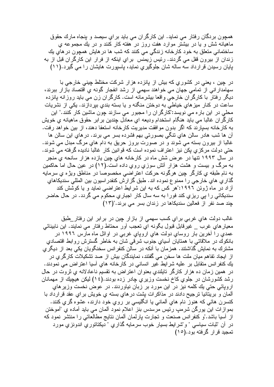همچون بردگان رفتار می نماید. این کارگران می باید بر ای سیصد و بنجاه مارك حقوق ماهیانه شش و یا در بیشتر موارد هفت روز در هفته کار کنند و در یك مجموعه ی ساختماني متعلق به خود كارخانه زندگي مي كنند كه شب ها در هايش همچون در هاي يك زندان از بیرون قفل می گردند. رئیس زیمنس برای اینکه از فرار این کارگران قبل از به پایان رسیدن قرارداد سه ساله شان جلوگیریِ نماید، پاسپورت هایشان را می گیرد.(۱۱)

در چین ، یعنی در کشوری که بیش از بانزده هزار شرکت مختلط چینی خارجی با سهامدارانی از تمامی جهان می خواهند سهمی از رشد انفجار گونه ی اقتصاد بازار ببرند، دیگر رفتار با کارگران خارجی واقعا بیشرمانه است. کارگران زن می باید روزانه بانزده ساعت در كنار ميزهاي خياطي به دوختن منگنه و يا بسته بندي بپردازند. يكي از نشريات محلّی در این بار ه می نویسد:"کارگران را مجبور می سازند چون ماشین کار کنند." این کارگر ان غالبا می باید هنگام استخدام ودیعه ای معادل چندین بر ابر حقوق ماهیانه ی خویش به کار خانه بسیارند که اگر بدون موافقت مدیریت کارخانه استعفا دهند، از بین خواهد رفت. أن ها شب هادر سالن هاي نتگي بصورتي بهم فشرده بسر مي برند. درهاي اين سالن ها غالبا از بیرون بسته می شوند و در صورت بروز حریق به دام های مرگ مبدل می شوند. حتبی دولت مرکزی بکن نیز اعتراف نموده است که قوانین کار غالبا نادیده گرفته می شوند. در سال ۱۹۹۳ تنها در عرض شش ماه در کارخانه های چین بازده هز ار سانحه ی منجر به مرگ و بیست و هشت هزار آتش سوزی روی داده است.(۱۲) در عین حال اما حاکمین به نام طبقه ی کار گر چین هر گونه حرکت اعتر اضی مخصوصا در مناطق ویژ ه ی سرمایه گذار ي هاي خارجي را ممنو ع نموده اند. طبق گزارش كنفدر اسپون بين المللي سنديكاهاي آز اد در ماه ژوئن ۱۹۹۲:"هر کس که به این شر ایط اعتر اضبی نماید و یا کوشش کند سندیکائی را پی ریزی کند فورا به سه سال کار اجباریِ محکوم می گردد. در حال حاضر جند صد نفر از فعالین سندیکاها در زندان بسر می برند."(۱۳)

غالب دولت های غربی برای کسب سهمی از بازار چین در برابر این رفتار طبق معیار هایِ غرب \_ غیرقابل قبول بگونه ایِ تعجب آور محتاط رفتار می نمایند. این نابینائی عمدي را أخرين بار روساي دولت هاي اروپاي غربي در اوائل ماه مارس ١٩٩٦ در بانکوك در ملاقاتی با همتابان أسیایِ جنوب شرقی شان به خاطر گسترش روابط اقتصادیِ مشترك به نمايش گذاشتند. همزمان با أنكه در سالن كنفرانس سخنگويان يكي بعد از ديگري از ايجاد تفاهم ميان ملت ها سخن مي گفتند، نمايندگان بيش از صد تشكيلات كارگري در يك كنفر انس متقابل بر عليه شرايط غير انساني در كارخانه هاي آسيا اعتراض مي نمودند. در همین زمان ده هزار کارگر تایلندی بعنوان اعتراض به تقسیم ناعادلانه ی ثروت در حال رشد كشورشان در جلوي كاخ نخست وزيري چادر زده بودند.(٤١) ليكن هيچيك از مهمانان اروپائی حتی بك كلمه نیز در این مورد بر زبان نیاوردند. در عوض نخست وزیرهای آلمان و بریتانیا ترجیح دادند در مذاکر ات بشت در های بسته ی خویش بر ای عقد قر ارداد با کنسرن هائی که هنوز ّ نام های ألمانی با انگلیسی بر روی خود دارند، عشوه گری کنند. بمو از ات این پور گن شر مب رئیس مرسدس بنز ِ اعلام نمود آلمان می باید آماده ی "آموختن از أسبا باشد."و كنفرانس صنعت و نجارت بارلمان ألمان نتايج مطالعاتي را منتشر نمود كه در آن "ثبات سیاسی " و "شر ایط بسیار خوب سرمایه گذاری " دیکناتوری اندونزی مورد تمجيد قرار گرفته بود.(١٥)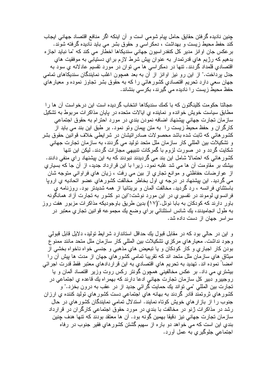جِنين ناديده گرفتن حقايق حامل بيام شومي است و آن اينكه اگر منافع اقتصاد جهاني ايجاب کند حفط محیط زیست و بهداشت ، دمکر اسی و حقوق بشر می باید نادیده گرفته شوند. بر عکس جان او انز مدیر کل کنفدر اسیون جهانی سندیکاها اخطار می کند که "ما نباید اجاز ه بدهیم که رژیم های قدرتمدار به عنوان بیش شرط لازم برای دستیابی به موفقیت های اقتصادي قلمداد گردند. نتها در دمكراسي ها مي نوان در مورد نقسيم عادلانه ي سود به جدل برداخت." از این رو نیز اوانز از آن به بعد همچون اغلب نمایندگان سندیکاهای تمامی جهان سعی دارد تحریم اقتصادیِ کشور هائی را که به حقوق بشر تجاوز نموده و معیار های حفظ محبط زیست را نادیده می گیرند، بکرسی بنشاند.

عجالتا حکومت کلینگتون که با کمك سندیکاها انتخاب گردیده است این درخواست آن ها را مطابق سیاست خویش خوانده و نماینده ی ایالات متحده در یابان مذاکرات مربوط به تشکیل سازمان تجارت جهاني بيشنهاد اضافه نمودن بندي در مورد احترام به حقوق اجتماعي کارگران و حفظ محیط زیست را به متن بیمان وتو نمود. بر طبق این بند می باید از كشور هائي كه ثابت شده باشد محصولات صادر انيشان در شرايطي خلاف قوانين حقوق بشر و تشکیلات بین المللی کار سازمان ملل متحد تولید می گردند، به سازمان تجارت جهانی شکایت گردد و در صورت لزوم با گمرکات نتبیهی مجازات گردند. لیکن این نتها کشور هائی که احتمالا شامل این بند می گردیدند نبودند که به این بیشنهاد رای منفی دادند. بیشك بر مُقاومت آن ها می شد غلبه نمود. زیرا با این قرارداد جدید، از آن جا كه بسیاری از عوارضات حفاظتي و موانع تجاري از بين مي رفت ، زيان هاي فراواني متوجه شان می گردید. این بیشنهاد در درجه یِ اول بخاطر مخالفت کشورهایِ عضو اتحادیه یِ اروپا باستثنای فرانسه ، رد گردید. مخالفت آلمان و بریتانیا از همه شدیدتر بود. روزنامه ی فرانسوی لوموند در تفسیری در این مورد نوشت:"این دو کشور به تجارت آزاد همانگونه باور ِ دارند که کودکان به بابا نوئل."(۱۷) بدین طریق باوجودیکه مذاکر ات مزبور ِ هفت روز به طول انجاميدند، يك شانس استثنائي براي وضع يك مجموعه قوانين تجاري معتبر در سر اسر جهان از دست داده شد.

و این در حالبی بود که در مقابل قبول بك حداقل استاندارد شرایط تولید، دلایل قابل قبولمی وجود نداشت. معيار هاي مركزي نشكيلات بين المللي كار سازمان ملل متحد مانند ممنو ع بودن كار اجباري و كار كودكان و يا تبعيض هاي مذهبي و جنسي خواه ناخواه بخشي از میثاق هایِ سازمان ملل متحد اند که نقریبا نمامی کشورهایِ جهان از مدت ها بیش آن را امضاً نموده اند. تهدید به تحریم های اقتصادی به این قراردادهای معتبر فقط قدرت اجرائی بیشتریِ می داد. بر عکس مخالفینی همچون گونتر رکس روت وزیر اقتصاد ألمان و یا روجييرو دبير كل سازمان تجارت جهاني ادعا دارند كه بهمراه يك قاعده ي اجتماعي در<br>تجارت بين المللي "مي نواند يك حمايت گرائي جديد از در عقب به درون بخزد." و کشور های ثروتمند قادر گردند به بهانه های اجتماعی دست کشور های تولید کننده ی ارزان جنوب راً از بازارهای خویش کوتاه نمایند. استدلال تمامی نمایندگان کشورهای در حال رشد در مذاکر ات ژنو در مخالفت با بندی در مورد حقوق اجتماعی کارگر ان در قرارداد سازمان تجارت جهانی نیز دقیقا بهمین گونه بود. آن ها معتقد بودند که تنها هدف چنین بندی این است که می خواهد دو باره از سهیم گشتن کشورهای فقیر جنوب در رفاه اجتماعی جلوگیر ی به عمل آورد.